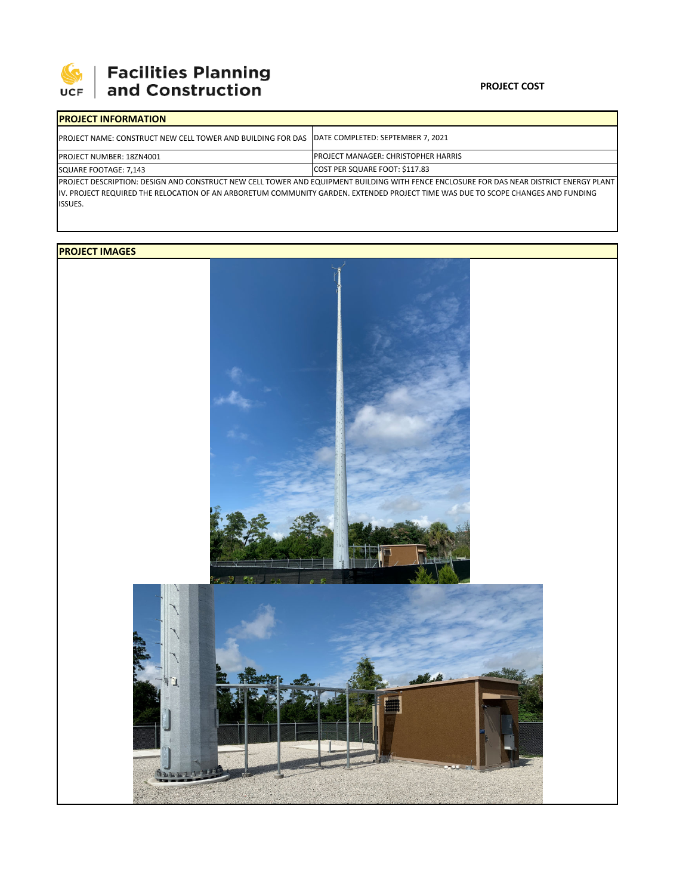

# **SEPTE AND Facilities Planning**<br>UCF and Construction

### **PROJECT COST**

| <b>IPROJECT INFORMATION</b>                                                                            |                                                                                                                                                                                                                                                                              |  |  |  |
|--------------------------------------------------------------------------------------------------------|------------------------------------------------------------------------------------------------------------------------------------------------------------------------------------------------------------------------------------------------------------------------------|--|--|--|
| <b>IPROJECT NAME: CONSTRUCT NEW CELL TOWER AND BUILDING FOR DAS IDATE COMPLETED: SEPTEMBER 7, 2021</b> |                                                                                                                                                                                                                                                                              |  |  |  |
| <b>PROJECT NUMBER: 18ZN4001</b>                                                                        | <b>IPROJECT MANAGER: CHRISTOPHER HARRIS</b>                                                                                                                                                                                                                                  |  |  |  |
| SQUARE FOOTAGE: 7,143                                                                                  | COST PER SQUARE FOOT: \$117.83                                                                                                                                                                                                                                               |  |  |  |
|                                                                                                        | IPROJECT DESCRIPTION: DESIGN AND CONSTRUCT NEW CELL TOWER AND EQUIPMENT BUILDING WITH FENCE ENCLOSURE FOR DAS NEAR DISTRICT ENERGY PLANT<br>IN DROIECT REQUIRED THE RELOCATION OF AN ARROBETHIM COMMUNITY CARDEN. EVTENDED RROIECT TIME WAS DUE TO SCORE CHANGES AND EUNDING |  |  |  |

IV. PROJECT REQUIRED THE RELOCATION OF AN ARBORETUM COMMUNITY GARDEN. EXTENDED PROJECT TIME WAS DUE TO SCOPE CHANGES AND FUNDING ISSUES.

## **PROJECT IMAGES**